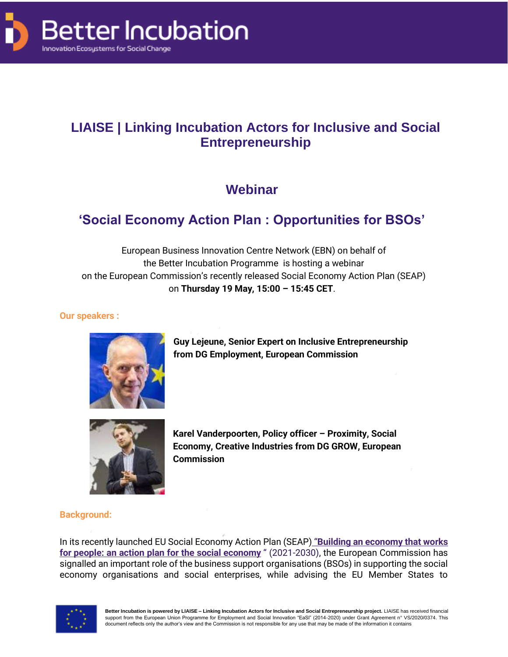

# **LIAISE | Linking Incubation Actors for Inclusive and Social Entrepreneurship**

# **Webinar**

# **'Social Economy Action Plan : Opportunities for BSOs'**

European Business Innovation Centre Network (EBN) on behalf of the Better Incubation Programme is hosting a webinar on the European Commission's recently released Social Economy Action Plan (SEAP) on **Thursday 19 May, 15:00 – 15:45 CET**.

### **Our speakers :**



**Guy Lejeune, Senior Expert on Inclusive Entrepreneurship from DG Employment, European Commission**



**Karel Vanderpoorten, Policy officer – Proximity, Social Economy, Creative Industries from DG GROW, European Commission**

### **Background:**

In its recently launched EU Social Economy Action Plan (SEAP) "**[Building an economy that works](https://www.socialeconomy.eu.org/wp-content/uploads/2021/12/Building-an-economy-that-works-for-people-an-action-plan-for-the-social-economy.pdf)  for [people: an action plan for the social](https://www.socialeconomy.eu.org/wp-content/uploads/2021/12/Building-an-economy-that-works-for-people-an-action-plan-for-the-social-economy.pdf) economy** " (2021-2030), the European Commission has signalled an important role of the business support organisations (BSOs) in supporting the social economy organisations and social enterprises, while advising the EU Member States to